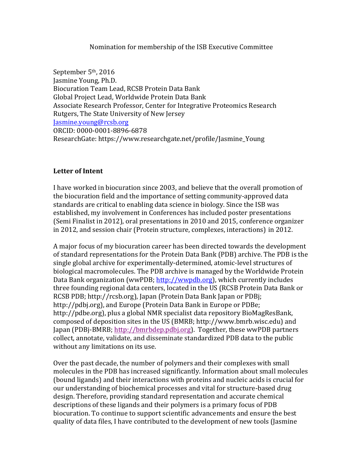### Nomination for membership of the ISB Executive Committee

September 5<sup>th</sup>, 2016 Jasmine Young, Ph.D. Biocuration Team Lead, RCSB Protein Data Bank Global Project Lead, Worldwide Protein Data Bank Associate Research Professor, Center for Integrative Proteomics Research Rutgers, The State University of New Jersey Jasmine.young@rcsb.org ORCID: 0000-0001-8896-6878 ResearchGate: https://www.researchgate.net/profile/Jasmine Young

## Letter of Intent

I have worked in biocuration since 2003, and believe that the overall promotion of the biocuration field and the importance of setting community-approved data standards are critical to enabling data science in biology. Since the ISB was established, my involvement in Conferences has included poster presentations (Semi Finalist in 2012), oral presentations in 2010 and 2015, conference organizer in 2012, and session chair (Protein structure, complexes, interactions) in 2012.

A major focus of my biocuration career has been directed towards the development of standard representations for the Protein Data Bank (PDB) archive. The PDB is the single global archive for experimentally-determined, atomic-level structures of biological macromolecules. The PDB archive is managed by the Worldwide Protein Data Bank organization (wwPDB; http://wwpdb.org), which currently includes three founding regional data centers, located in the US (RCSB Protein Data Bank or RCSB PDB; http://rcsb.org), Japan (Protein Data Bank Japan or PDBj; http://pdbj.org), and Europe (Protein Data Bank in Europe or PDBe; http://pdbe.org), plus a global NMR specialist data repository BioMagResBank, composed of deposition sites in the US (BMRB; http://www.bmrb.wisc.edu) and Japan (PDBj-BMRB; http://bmrbdep.pdbj.org). Together, these wwPDB partners collect, annotate, validate, and disseminate standardized PDB data to the public without any limitations on its use.

Over the past decade, the number of polymers and their complexes with small molecules in the PDB has increased significantly. Information about small molecules (bound ligands) and their interactions with proteins and nucleic acids is crucial for our understanding of biochemical processes and vital for structure-based drug design. Therefore, providing standard representation and accurate chemical descriptions of these ligands and their polymers is a primary focus of PDB biocuration. To continue to support scientific advancements and ensure the best quality of data files, I have contributed to the development of new tools (Jasmine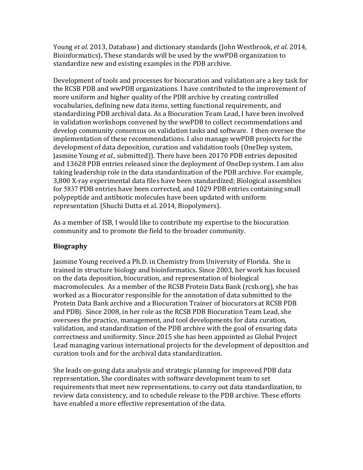Young *et al.* 2013, Database) and dictionary standards (John Westbrook, *et al.* 2014, Bioinformatics). These standards will be used by the wwPDB organization to standardize new and existing examples in the PDB archive.

Development of tools and processes for biocuration and validation are a key task for the RCSB PDB and wwPDB organizations. I have contributed to the improvement of more uniform and higher quality of the PDB archive by creating controlled vocabularies, defining new data items, setting functional requirements, and standardizing PDB archival data. As a Biocuration Team Lead, I have been involved in validation workshops convened by the wwPDB to collect recommendations and develop community consensus on validation tasks and software. I then oversee the implementation of these recommendations. I also manage wwPDB projects for the development of data deposition, curation and validation tools (OneDep system, Jasmine Young *et al.*, submitted). There have been 20170 PDB entries deposited and 13628 PDB entries released since the deployment of OneDep system. I am also taking leadership role in the data standardization of the PDB archive. For example, 3,800 X-ray experimental data files have been standardized; Biological assemblies for 5837 PDB entries have been corrected, and 1029 PDB entries containing small polypeptide and antibiotic molecules have been updated with uniform representation (Shuchi Dutta et al. 2014, Biopolymers).

As a member of ISB, I would like to contribute my expertise to the biocuration community and to promote the field to the broader community.

# **Biography**

Jasmine Young received a Ph.D. in Chemistry from University of Florida. She is trained in structure biology and bioinformatics. Since 2003, her work has focused on the data deposition, biocuration, and representation of biological macromolecules. As a member of the RCSB Protein Data Bank (rcsb.org), she has worked as a Biocurator responsible for the annotation of data submitted to the Protein Data Bank archive and a Biocuration Trainer of biocurators at RCSB PDB and PDB<sub>j</sub>. Since 2008, in her role as the RCSB PDB Biocuration Team Lead, she oversees the practice, management, and tool developments for data curation, validation, and standardization of the PDB archive with the goal of ensuring data correctness and uniformity. Since 2015 she has been appointed as Global Project Lead managing various international projects for the development of deposition and curation tools and for the archival data standardization.

She leads on-going data analysis and strategic planning for improved PDB data representation. She coordinates with software development team to set requirements that meet new representations, to carry out data standardization, to review data consistency, and to schedule release to the PDB archive. These efforts have enabled a more effective representation of the data.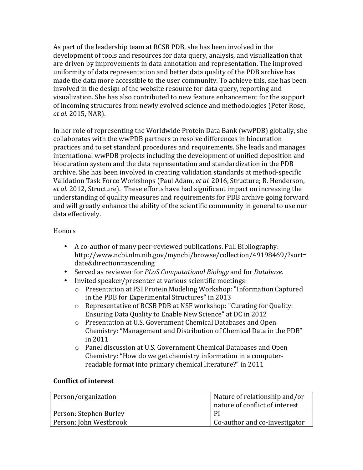As part of the leadership team at RCSB PDB, she has been involved in the development of tools and resources for data query, analysis, and visualization that are driven by improvements in data annotation and representation. The improved uniformity of data representation and better data quality of the PDB archive has made the data more accessible to the user community. To achieve this, she has been involved in the design of the website resource for data query, reporting and visualization. She has also contributed to new feature enhancement for the support of incoming structures from newly evolved science and methodologies (Peter Rose, *et al.* 2015, NAR).

In her role of representing the Worldwide Protein Data Bank (wwPDB) globally, she collaborates with the wwPDB partners to resolve differences in biocuration practices and to set standard procedures and requirements. She leads and manages international wwPDB projects including the development of unified deposition and biocuration system and the data representation and standardization in the PDB archive. She has been involved in creating validation standards at method-specific Validation Task Force Workshops (Paul Adam, *et al.* 2016, Structure; R. Henderson, *et al.* 2012, Structure). These efforts have had significant impact on increasing the understanding of quality measures and requirements for PDB archive going forward and will greatly enhance the ability of the scientific community in general to use our data effectively.

## **Honors**

- A co-author of many peer-reviewed publications. Full Bibliography: http://www.ncbi.nlm.nih.gov/myncbi/browse/collection/49198469/?sort= date&direction=ascending
- Served as reviewer for *PLoS Computational Biology* and for *Database*.
- Invited speaker/presenter at various scientific meetings:
	- o Presentation at PSI Protein Modeling Workshop: "Information Captured in the PDB for Experimental Structures" in 2013
	- $\circ$  Representative of RCSB PDB at NSF workshop: "Curating for Quality: Ensuring Data Quality to Enable New Science" at DC in 2012
	- o Presentation at U.S. Government Chemical Databases and Open Chemistry: "Management and Distribution of Chemical Data in the PDB" in 2011
	- $\circ$  Panel discussion at U.S. Government Chemical Databases and Open Chemistry: "How do we get chemistry information in a computerreadable format into primary chemical literature?" in 2011

## **Conflict of interest**

| Person/organization    | Nature of relationship and/or  |
|------------------------|--------------------------------|
|                        | nature of conflict of interest |
| Person: Stephen Burley | $\mathsf{P}$                   |
| Person: John Westbrook | Co-author and co-investigator  |